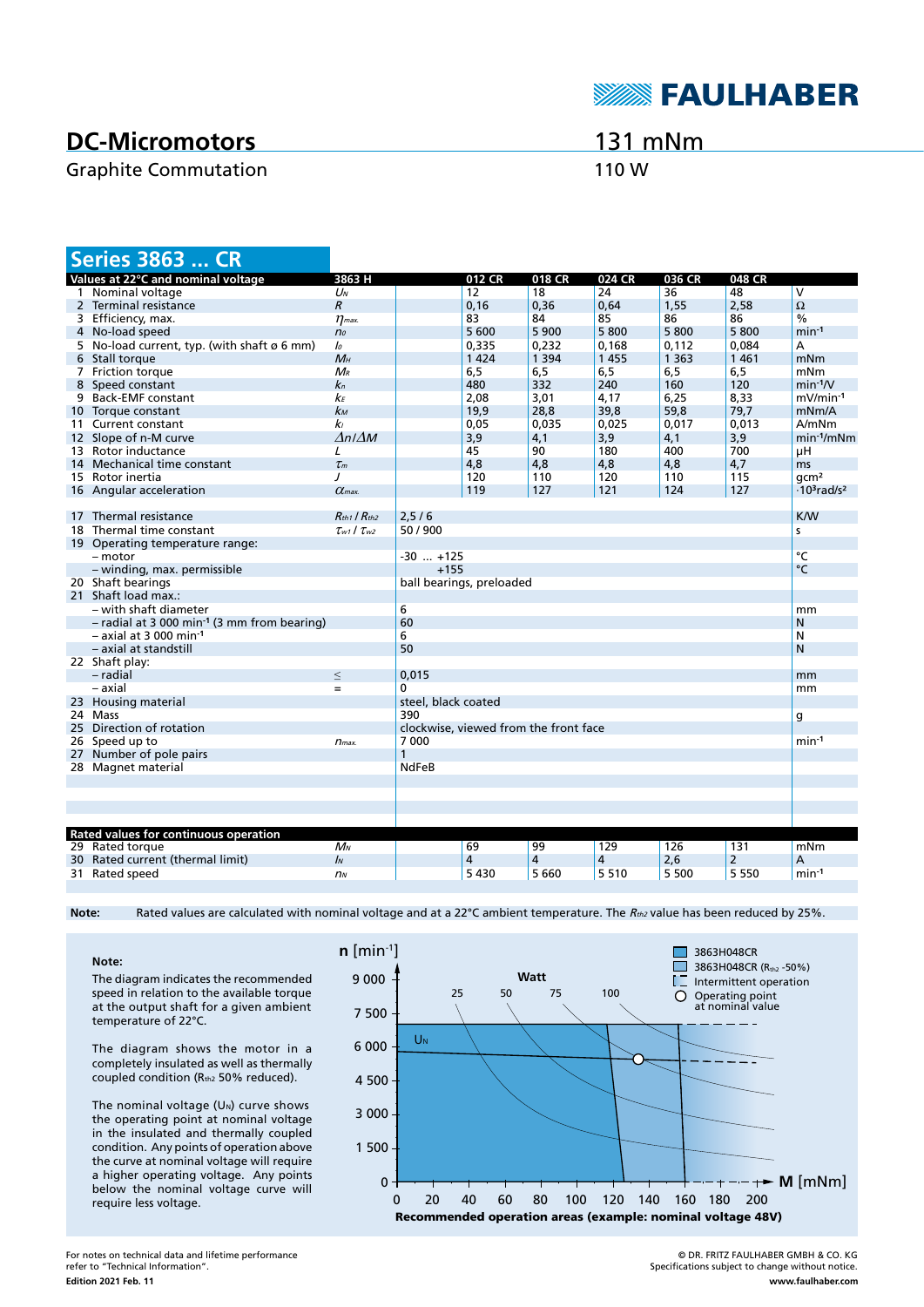# **DC-Micromotors**

### Graphite Commutation **110 W**

## 131 mNm

**SEAULHABER** 

| <b>Series 3863  CR</b>                                    |                           |                                       |                |         |         |         |                |                                            |
|-----------------------------------------------------------|---------------------------|---------------------------------------|----------------|---------|---------|---------|----------------|--------------------------------------------|
| Values at 22°C and nominal voltage                        | 3863 H                    |                                       | 012 CR         | 018 CR  | 024 CR  | 036 CR  | 048 CR         |                                            |
| 1 Nominal voltage                                         | $U_N$                     |                                       | 12             | 18      | 24      | 36      | 48             | V                                          |
| 2 Terminal resistance                                     | $\overline{R}$            |                                       | 0,16           | 0,36    | 0,64    | 1,55    | 2,58           | Ω                                          |
| 3 Efficiency, max.                                        | $\eta_{\textit{max}}$     |                                       | 83             | 84      | 85      | 86      | 86             | $\frac{0}{0}$                              |
| 4 No-load speed                                           | n <sub>o</sub>            |                                       | 5 600          | 5 9 0 0 | 5800    | 5800    | 5800           | $min-1$                                    |
| 5 No-load current, typ. (with shaft ø 6 mm)               | $\mathcal{L}_{0}$         |                                       | 0,335          | 0,232   | 0,168   | 0,112   | 0,084          | А                                          |
| 6 Stall torque                                            | $M_H$                     |                                       | 1 4 2 4        | 1 3 9 4 | 1 4 5 5 | 1 3 6 3 | 1461           | mNm                                        |
| 7 Friction torque                                         | $M_{R}$                   |                                       | 6,5            | 6, 5    | 6, 5    | 6,5     | 6,5            | mNm                                        |
| 8 Speed constant                                          | $k_{n}$                   |                                       | 480            | 332     | 240     | 160     | 120            | $min-1/V$                                  |
| 9 Back-EMF constant                                       | kғ                        |                                       | 2,08           | 3,01    | 4,17    | 6,25    | 8,33           | mV/min-1                                   |
| 10 Torque constant                                        | kм                        |                                       | 19,9           | 28,8    | 39,8    | 59,8    | 79,7           | mNm/A                                      |
| 11 Current constant                                       | k <sub>l</sub>            |                                       | 0,05           | 0,035   | 0,025   | 0,017   | 0,013          | A/mNm                                      |
| 12 Slope of n-M curve                                     | $\Delta n / \Delta M$     |                                       | 3,9            | 4,1     | 3,9     | 4,1     | 3,9            | $min-1/mNm$                                |
| 13 Rotor inductance                                       | L                         |                                       | 45             | 90      | 180     | 400     | 700            | μH                                         |
| 14 Mechanical time constant                               | $\tau_m$                  |                                       | 4,8            | 4,8     | 4,8     | 4,8     | 4,7            | ms                                         |
| 15 Rotor inertia                                          | $\prime$                  |                                       | 120            | 110     | 120     | 110     | 115            | qcm <sup>2</sup>                           |
| 16 Angular acceleration                                   | $\alpha$ <sub>max</sub>   |                                       | 119            | 127     | 121     | 124     | 127            | $\cdot$ 10 <sup>3</sup> rad/s <sup>2</sup> |
|                                                           |                           |                                       |                |         |         |         |                |                                            |
| 17 Thermal resistance                                     | $R_{th1}$ / $R_{th2}$     | 2,5/6                                 |                |         |         |         |                | <b>K/W</b>                                 |
| 18 Thermal time constant                                  | $\tau_{w1}$ / $\tau_{w2}$ | 50 / 900                              |                |         |         |         |                | s                                          |
| 19 Operating temperature range:                           |                           |                                       |                |         |         |         |                |                                            |
| - motor                                                   |                           | $-30$ $+125$                          |                |         |         |         |                | $\overline{C}$                             |
| - winding, max. permissible                               |                           | $+155$                                |                |         |         |         |                | °C                                         |
| 20 Shaft bearings                                         |                           | ball bearings, preloaded              |                |         |         |         |                |                                            |
| 21 Shaft load max.:                                       |                           |                                       |                |         |         |         |                |                                            |
| – with shaft diameter                                     |                           | 6                                     |                |         |         |         |                | mm                                         |
| $-$ radial at 3 000 min <sup>-1</sup> (3 mm from bearing) |                           | 60                                    |                |         |         |         |                | N                                          |
| $-$ axial at 3 000 min <sup>-1</sup>                      |                           | 6                                     |                |         |         |         |                | N                                          |
| – axial at standstill                                     |                           | 50                                    |                |         |         |         |                | N                                          |
| 22 Shaft play:                                            |                           |                                       |                |         |         |         |                |                                            |
| - radial                                                  | $\leq$                    | 0,015                                 |                |         |         |         |                | mm                                         |
| – axial                                                   | $=$                       | 0                                     |                |         |         |         |                | mm                                         |
| 23 Housing material                                       |                           | steel, black coated                   |                |         |         |         |                |                                            |
| 24 Mass                                                   |                           | 390                                   |                |         |         |         | g              |                                            |
| 25 Direction of rotation                                  |                           | clockwise, viewed from the front face |                |         |         |         |                |                                            |
| 26 Speed up to                                            | $n_{max.}$                | 7 0 0 0                               |                |         |         |         | $min-1$        |                                            |
| 27 Number of pole pairs                                   |                           |                                       |                |         |         |         |                |                                            |
| 28 Magnet material                                        |                           | <b>NdFeB</b>                          |                |         |         |         |                |                                            |
|                                                           |                           |                                       |                |         |         |         |                |                                            |
|                                                           |                           |                                       |                |         |         |         |                |                                            |
|                                                           |                           |                                       |                |         |         |         |                |                                            |
|                                                           |                           |                                       |                |         |         |         |                |                                            |
| Rated values for continuous operation                     |                           |                                       |                |         |         |         |                |                                            |
| 29 Rated torque                                           | $M_N$                     |                                       | 69             | 99      | 129     | 126     | 131            | mNm                                        |
| 30 Rated current (thermal limit)                          | $\mathbf{I}$              |                                       | $\overline{4}$ | 4       | 4       | 2,6     | $\overline{2}$ | Α                                          |
| 31 Rated speed                                            | n <sub>N</sub>            |                                       | 5430           | 5 6 6 0 | 5 5 1 0 | 5 500   | 5 5 5 0        | $min-1$                                    |

Note: Rated values are calculated with nominal voltage and at a 22°C ambient temperature. The R<sub>th2</sub> value has been reduced by 25%.

**Note:** The diagram indicates the recommended speed in relation to the available torque at the output shaft for a given ambient temperature of 22°C.

The diagram shows the motor in a completely insulated as well as thermally coupled condition (Rth2 50% reduced).

The nominal voltage  $(U<sub>N</sub>)$  curve shows the operating point at nominal voltage in the insulated and thermally coupled condition. Any points of operation above the curve at nominal voltage will require a higher operating voltage. Any points below the nominal voltage curve will require less voltage.